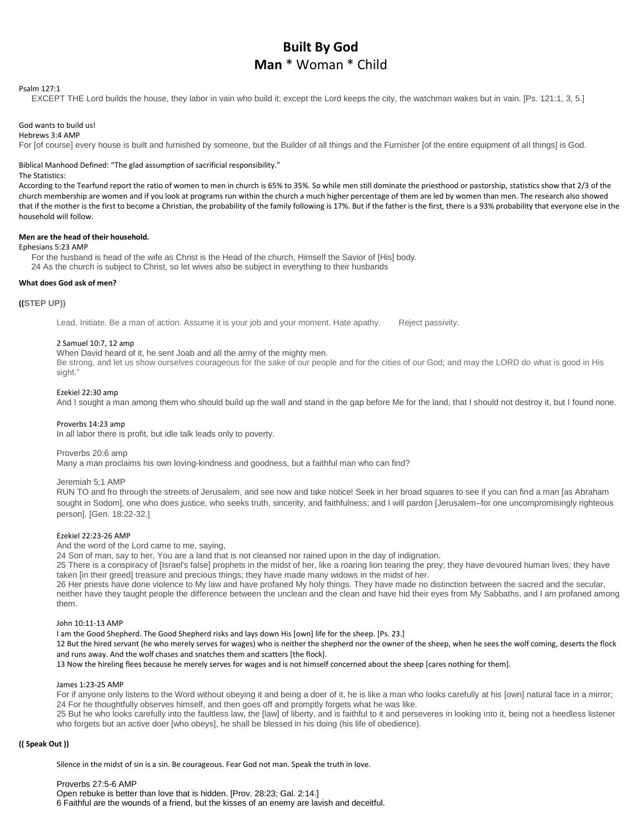# **Built By God Man** \* Woman \* Child

#### Psalm 127:1

EXCEPT THE Lord builds the house, they labor in vain who build it; except the Lord keeps the city, the watchman wakes but in vain. [Ps. 121:1, 3, 5.]

# God wants to build us!

Hebrews 3:4 AMP

For [of course] every house is built and furnished by someone, but the Builder of all things and the Furnisher [of the entire equipment of all things] is God.

# Biblical Manhood Defined: "The glad assumption of sacrificial responsibility."

#### The Statistics:

According to the Tearfund report the ratio of women to men in church is 65% to 35%. So while men still dominate the priesthood or pastorship, statistics show that 2/3 of the church membership are women and if you look at programs run within the church a much higher percentage of them are led by women than men. The research also showed that if the mother is the first to become a Christian, the probability of the family following is 17%. But if the father is the first, there is a 93% probability that everyone else in the household will follow.

# **Men are the head of their household.**

# Ephesians 5:23 AMP

For the husband is head of the wife as Christ is the Head of the church, Himself the Savior of [His] body. 24 As the church is subject to Christ, so let wives also be subject in everything to their husbands

#### **What does God ask of men?**

#### **((STEP UP))**

Lead. Initiate. Be a man of action. Assume it is your job and your moment. Hate apathy. Reject passivity.

#### 2 Samuel 10:7, 12 amp

## When David heard of it, he sent Joab and all the army of the mighty men.

Be strong, and let us show ourselves courageous for the sake of our people and for the cities of our God; and may the LORD do what is good in His sight."

#### Ezekiel 22:30 amp

And I sought a man among them who should build up the wall and stand in the gap before Me for the land, that I should not destroy it, but I found none.

#### Proverbs 14:23 amp

In all labor there is profit, but idle talk leads only to poverty.

#### Proverbs 20:6 amp

Many a man proclaims his own loving-kindness and goodness, but a faithful man who can find?

#### Jeremiah 5:1 AMP

RUN TO and fro through the streets of Jerusalem, and see now and take notice! Seek in her broad squares to see if you can find a man [as Abraham sought in Sodom], one who does justice, who seeks truth, sincerity, and faithfulness; and I will pardon [Jerusalem–for one uncompromisingly righteous person]. [Gen. 18:22-32.]

# Ezekiel 22:23-26 AMP

And the word of the Lord came to me, saying,

24 Son of man, say to her, You are a land that is not cleansed nor rained upon in the day of indignation.

25 There is a conspiracy of [Israel's false] prophets in the midst of her, like a roaring lion tearing the prey; they have devoured human lives; they have taken [in their greed] treasure and precious things; they have made many widows in the midst of her.

26 Her priests have done violence to My law and have profaned My holy things. They have made no distinction between the sacred and the secular, neither have they taught people the difference between the unclean and the clean and have hid their eyes from My Sabbaths, and I am profaned among them.

# John 10:11-13 AMP

I am the Good Shepherd. The Good Shepherd risks and lays down His [own] life for the sheep. [Ps. 23.]

12 But the hired servant (he who merely serves for wages) who is neither the shepherd nor the owner of the sheep, when he sees the wolf coming, deserts the flock and runs away. And the wolf chases and snatches them and scatters [the flock].

13 Now the hireling flees because he merely serves for wages and is not himself concerned about the sheep [cares nothing for them].

#### James 1:23-25 AMP

For if anyone only listens to the Word without obeying it and being a doer of it, he is like a man who looks carefully at his [own] natural face in a mirror; 24 For he thoughtfully observes himself, and then goes off and promptly forgets what he was like.

25 But he who looks carefully into the faultless law, the [law] of liberty, and is faithful to it and perseveres in looking into it, being not a heedless listener who forgets but an active doer [who obeys], he shall be blessed in his doing (his life of obedience).

## **(( Speak Out ))**

Silence in the midst of sin is a sin. Be courageous. Fear God not man. Speak the truth in love.

Proverbs 27:5-6 AMP Open rebuke is better than love that is hidden. [Prov. 28:23; Gal. 2:14.] 6 Faithful are the wounds of a friend, but the kisses of an enemy are lavish and deceitful.